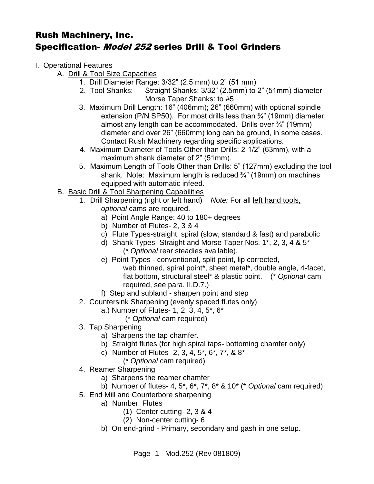- I. Operational Features
	- A. Drill & Tool Size Capacities
		- 1. Drill Diameter Range: 3/32" (2.5 mm) to 2" (51 mm)
		- 2. Tool Shanks: Straight Shanks: 3/32" (2.5mm) to 2" (51mm) diameter Morse Taper Shanks: to #5
		- 3. Maximum Drill Length: 16" (406mm); 26" (660mm) with optional spindle extension (P/N SP50). For most drills less than ¾" (19mm) diameter, almost any length can be accommodated. Drills over ¾" (19mm) diameter and over 26" (660mm) long can be ground, in some cases. Contact Rush Machinery regarding specific applications.
		- 4. Maximum Diameter of Tools Other than Drills: 2-1/2" (63mm), with a maximum shank diameter of 2" (51mm).
		- 5. Maximum Length of Tools Other than Drills: 5" (127mm) excluding the tool shank. Note: Maximum length is reduced  $\frac{3}{4}$ " (19mm) on machines equipped with automatic infeed.
	- B. Basic Drill & Tool Sharpening Capabilities
		- 1. Drill Sharpening (right or left hand) *Note:* For all left hand tools, *optional* cams are required.
			- a) Point Angle Range: 40 to 180+ degrees
			- b) Number of Flutes- 2, 3 & 4
			- c) Flute Types-straight, spiral (slow, standard & fast) and parabolic
			- d) Shank Types- Straight and Morse Taper Nos. 1\*, 2, 3, 4 & 5\* (\* *Optional* rear steadies available).
			- e) Point Types conventional, split point, lip corrected, web thinned, spiral point\*, sheet metal\*, double angle, 4-facet, flat bottom, structural steel\* & plastic point. (\* *Optional* cam required, see para. II.D.7.)
			- f) Step and subland sharpen point and step
		- 2. Countersink Sharpening (evenly spaced flutes only)
			- a.) Number of Flutes- 1, 2, 3, 4, 5\*, 6\*
				- (\* *Optional* cam required)
		- 3. Tap Sharpening
			- a) Sharpens the tap chamfer.
			- b) Straight flutes (for high spiral taps- bottoming chamfer only)
			- c) Number of Flutes- 2, 3, 4, 5\*, 6\*, 7\*, & 8\*
				- (\* *Optional* cam required)
		- 4. Reamer Sharpening
			- a) Sharpens the reamer chamfer
			- b) Number of flutes- 4, 5\*, 6\*, 7\*, 8\* & 10\* (\* *Optional* cam required)
		- 5. End Mill and Counterbore sharpening
			- a) Number Flutes
				- (1) Center cutting- 2, 3 & 4
				- (2) Non-center cutting- 6
			- b) On end-grind Primary, secondary and gash in one setup.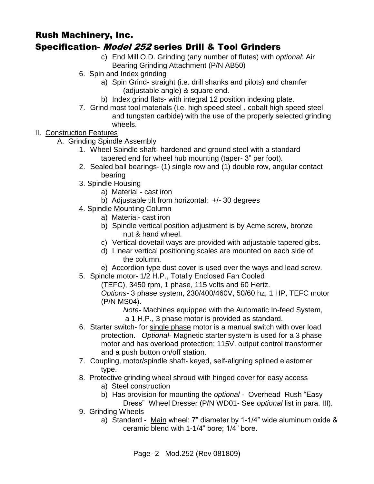- c) End Mill O.D. Grinding (any number of flutes) with *optional*: Air
	- Bearing Grinding Attachment (P/N AB50)
- 6. Spin and Index grinding
	- a) Spin Grind- straight (i.e. drill shanks and pilots) and chamfer (adjustable angle) & square end.
	- b) Index grind flats- with integral 12 position indexing plate.
- 7. Grind most tool materials (i.e. high speed steel , cobalt high speed steel and tungsten carbide) with the use of the properly selected grinding wheels.
- II. Construction Features
	- A. Grinding Spindle Assembly
		- 1. Wheel Spindle shaft- hardened and ground steel with a standard tapered end for wheel hub mounting (taper- 3" per foot).
		- 2. Sealed ball bearings- (1) single row and (1) double row, angular contact bearing
		- 3. Spindle Housing
			- a) Material cast iron
			- b) Adjustable tilt from horizontal: +/- 30 degrees
		- 4. Spindle Mounting Column
			- a) Material- cast iron
			- b) Spindle vertical position adjustment is by Acme screw, bronze nut & hand wheel.
			- c) Vertical dovetail ways are provided with adjustable tapered gibs.
			- d) Linear vertical positioning scales are mounted on each side of the column.
			- e) Accordion type dust cover is used over the ways and lead screw.
		- 5. Spindle motor- 1/2 H.P., Totally Enclosed Fan Cooled

(TEFC), 3450 rpm, 1 phase, 115 volts and 60 Hertz.

*Options-* 3 phase system, 230/400/460V, 50/60 hz, 1 HP, TEFC motor (P/N MS04).

*Note-* Machines equipped with the Automatic In-feed System,

a 1 H.P., 3 phase motor is provided as standard.

- 6. Starter switch- for single phase motor is a manual switch with over load protection. *Optional-* Magnetic starter system is used for a 3 phase motor and has overload protection; 115V. output control transformer and a push button on/off station.
- 7. Coupling, motor/spindle shaft- keyed, self-aligning splined elastomer type.
- 8. Protective grinding wheel shroud with hinged cover for easy access
	- a) Steel construction
	- b) Has provision for mounting the *optional*  Overhead Rush "Easy

Dress" Wheel Dresser (P/N WD01- See *optional* list in para. III).

- 9. Grinding Wheels
	- a) Standard Main wheel: 7" diameter by 1-1/4" wide aluminum oxide & ceramic blend with 1-1/4" bore; 1/4" bore.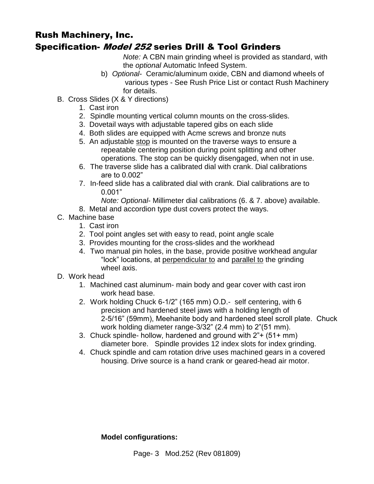*Note:* A CBN main grinding wheel is provided as standard, with the *optional* Automatic Infeed System.

- b) *Optional* Ceramic/aluminum oxide, CBN and diamond wheels of various types - See Rush Price List or contact Rush Machinery for details.
- B. Cross Slides (X & Y directions)
	- 1. Cast iron
	- 2. Spindle mounting vertical column mounts on the cross-slides.
	- 3. Dovetail ways with adjustable tapered gibs on each slide
	- 4. Both slides are equipped with Acme screws and bronze nuts
	- 5. An adjustable stop is mounted on the traverse ways to ensure a repeatable centering position during point splitting and other operations. The stop can be quickly disengaged, when not in use.
	- 6. The traverse slide has a calibrated dial with crank. Dial calibrations are to 0.002"
	- 7. In-feed slide has a calibrated dial with crank. Dial calibrations are to 0.001"
		- *Note: Optional* Millimeter dial calibrations (6. & 7. above) available.
	- 8. Metal and accordion type dust covers protect the ways.
- C. Machine base
	- 1. Cast iron
	- 2. Tool point angles set with easy to read, point angle scale
	- 3. Provides mounting for the cross-slides and the workhead
	- 4. Two manual pin holes, in the base, provide positive workhead angular "lock" locations, at perpendicular to and parallel to the grinding wheel axis.
- D. Work head
	- 1. Machined cast aluminum- main body and gear cover with cast iron work head base.
	- 2. Work holding Chuck 6-1/2" (165 mm) O.D.- self centering, with 6 precision and hardened steel jaws with a holding length of 2-5/16" (59mm), Meehanite body and hardened steel scroll plate. Chuck work holding diameter range-3/32" (2.4 mm) to 2"(51 mm).
	- 3. Chuck spindle- hollow, hardened and ground with 2"+ (51+ mm) diameter bore. Spindle provides 12 index slots for index grinding.
	- 4. Chuck spindle and cam rotation drive uses machined gears in a covered housing. Drive source is a hand crank or geared-head air motor.

#### **Model configurations:**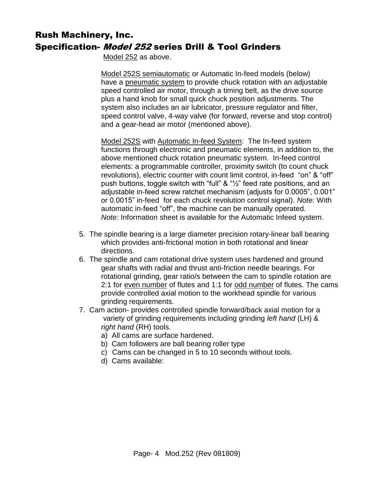Model 252 as above.

 Model 252S semiautomatic or Automatic In-feed models (below) have a pneumatic system to provide chuck rotation with an adjustable speed controlled air motor, through a timing belt, as the drive source plus a hand knob for small quick chuck position adjustments. The system also includes an air lubricator, pressure regulator and filter, speed control valve, 4-way valve (for forward, reverse and stop control) and a gear-head air motor (mentioned above).

Model 252S with Automatic In-feed System: The In-feed system functions through electronic and pneumatic elements, in addition to, the above mentioned chuck rotation pneumatic system. In-feed control elements: a programmable controller, proximity switch (to count chuck revolutions), electric counter with count limit control, in-feed "on" & "off" push buttons, toggle switch with "full" & "½" feed rate positions, and an adjustable in-feed screw ratchet mechanism (adjusts for 0.0005", 0.001" or 0.0015" in-feed for each chuck revolution control signal). *Note:* With automatic in-feed "off", the machine can be manually operated. *Note:* Information sheet is available for the Automatic Infeed system.

- 5. The spindle bearing is a large diameter precision rotary-linear ball bearing which provides anti-frictional motion in both rotational and linear directions.
- 6. The spindle and cam rotational drive system uses hardened and ground gear shafts with radial and thrust anti-friction needle bearings. For rotational grinding, gear ratio/s between the cam to spindle rotation are 2:1 for even number of flutes and 1:1 for odd number of flutes. The cams provide controlled axial motion to the workhead spindle for various grinding requirements.
- 7. Cam action- provides controlled spindle forward/back axial motion for a variety of grinding requirements including grinding *left hand* (LH) & *right hand* (RH) tools.
	- a) All cams are surface hardened.
	- b) Cam followers are ball bearing roller type
	- c) Cams can be changed in 5 to 10 seconds without tools.
	- d) Cams available: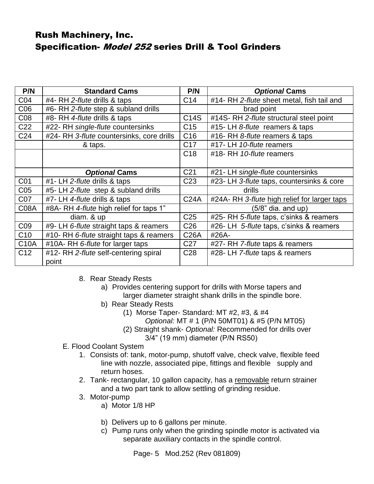| P/N             | <b>Standard Cams</b>                      | P/N             | <b>Optional Cams</b>                        |
|-----------------|-------------------------------------------|-----------------|---------------------------------------------|
| CO <sub>4</sub> | #4- RH 2-flute drills & taps              | C <sub>14</sub> | #14- RH 2-flute sheet metal, fish tail and  |
| C <sub>06</sub> | #6- RH 2-flute step & subland drills      |                 | brad point                                  |
| C <sub>08</sub> | #8- RH 4-flute drills & taps              | C14S            | #14S-RH 2-flute structural steel point      |
| C <sub>22</sub> | #22- RH single-flute countersinks         | C <sub>15</sub> | #15- LH 8-flute reamers & taps              |
| C <sub>24</sub> | #24- RH 3-flute countersinks, core drills | C <sub>16</sub> | #16- RH 8-flute reamers & taps              |
|                 | & taps.                                   | C <sub>17</sub> | #17- LH 10-flute reamers                    |
|                 |                                           | C <sub>18</sub> | #18- RH 10-flute reamers                    |
|                 |                                           |                 |                                             |
|                 | <b>Optional Cams</b>                      | C <sub>21</sub> | #21- LH single-flute countersinks           |
| C01             | #1- LH 2-flute drills & taps              | C <sub>23</sub> | #23- LH 3-flute taps, countersinks & core   |
| C <sub>05</sub> | #5- LH 2-flute step & subland drills      |                 | drills                                      |
| C07             | #7- LH 4-flute drills & taps              | <b>C24A</b>     | #24A-RH 3-flute high relief for larger taps |
| <b>C08A</b>     | #8A-RH 4-flute high relief for taps 1"    |                 | $(5/8"$ dia. and up)                        |
|                 | diam. & up                                | C <sub>25</sub> | #25- RH 5-flute taps, c'sinks & reamers     |
| C <sub>09</sub> | #9- LH 6-flute straight taps & reamers    | C <sub>26</sub> | #26- LH 5-flute taps, c'sinks & reamers     |
| C10             | #10- RH 6-flute straight taps & reamers   | <b>C26A</b>     | #26A-                                       |
| <b>C10A</b>     | #10A-RH 6-flute for larger taps           | C <sub>27</sub> | #27- RH 7-flute taps & reamers              |
| C12             | #12- RH 2-flute self-centering spiral     | C <sub>28</sub> | #28- LH 7-flute taps & reamers              |
|                 | point                                     |                 |                                             |

- 8. Rear Steady Rests
	- a) Provides centering support for drills with Morse tapers and larger diameter straight shank drills in the spindle bore.
	- b) Rear Steady Rests
		- (1) Morse Taper- Standard: MT #2, #3, & #4
			- *Optional:* MT # 1 (P/N 50MT01) & #5 (P/N MT05)
		- (2) Straight shank- *Optional:* Recommended for drills over 3/4" (19 mm) diameter (P/N RS50)
- E. Flood Coolant System
	- 1. Consists of: tank, motor-pump, shutoff valve, check valve, flexible feed line with nozzle, associated pipe, fittings and flexible supply and return hoses.
	- 2. Tank- rectangular, 10 gallon capacity, has a removable return strainer and a two part tank to allow settling of grinding residue.
	- 3. Motor-pump
		- a) Motor 1/8 HP
		- b) Delivers up to 6 gallons per minute.
		- c) Pump runs only when the grinding spindle motor is activated via separate auxiliary contacts in the spindle control.

Page- 5 Mod.252 (Rev 081809)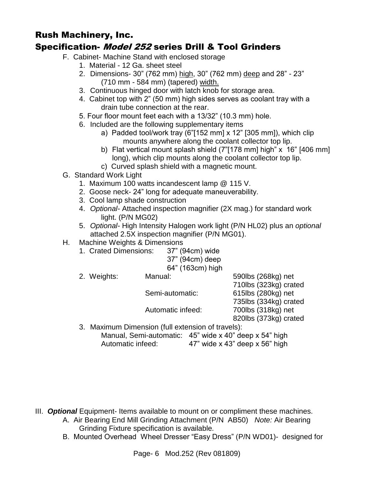# Rush Machinery, Inc.

# Specification- Model 252 series Drill & Tool Grinders

- F. Cabinet- Machine Stand with enclosed storage
	- 1. Material 12 Ga. sheet steel
	- 2. Dimensions- 30" (762 mm) high, 30" (762 mm) deep and 28" 23" (710 mm - 584 mm) (tapered) width.
	- 3. Continuous hinged door with latch knob for storage area.
	- 4. Cabinet top with 2" (50 mm) high sides serves as coolant tray with a drain tube connection at the rear.
	- 5. Four floor mount feet each with a 13/32" (10.3 mm) hole.
	- 6. Included are the following supplementary items
		- a) Padded tool/work tray (6"[152 mm] x 12" [305 mm]), which clip mounts anywhere along the coolant collector top lip.
		- b) Flat vertical mount splash shield (7"[178 mm] high" x 16" [406 mm] long), which clip mounts along the coolant collector top lip.
		- c) Curved splash shield with a magnetic mount.
- G. Standard Work Light
	- 1. Maximum 100 watts incandescent lamp @ 115 V.
	- 2. Goose neck- 24" long for adequate maneuverability.
	- 3. Cool lamp shade construction
	- 4. *Optional-* Attached inspection magnifier (2X mag.) for standard work light. (P/N MG02)
	- 5. *Optional-* High Intensity Halogen work light (P/N HL02) plus an *optional*  attached 2.5X inspection magnifier (P/N MG01).
- H. Machine Weights & Dimensions
	- 1. Crated Dimensions: 37" (94cm) wide

| 37" (94cm) deep  |
|------------------|
| 64" (163cm) high |

|                                                   | $\mathsf{v}$ , $\mathsf{v}$ , $\mathsf{v}$ , $\mathsf{v}$ , $\mathsf{v}$ , $\mathsf{v}$ , $\mathsf{v}$ , $\mathsf{v}$ |                       |
|---------------------------------------------------|-----------------------------------------------------------------------------------------------------------------------|-----------------------|
| 2. Weights:                                       | Manual:                                                                                                               | 590lbs (268kg) net    |
|                                                   |                                                                                                                       | 710lbs (323kg) crated |
|                                                   | Semi-automatic:                                                                                                       | 615lbs (280kg) net    |
|                                                   |                                                                                                                       | 735lbs (334kg) crated |
|                                                   | Automatic infeed:                                                                                                     | 700lbs (318kg) net    |
|                                                   |                                                                                                                       | 820lbs (373kg) crated |
| 3. Maximum Dimension (full extension of travels): |                                                                                                                       |                       |
|                                                   | Manual, Semi-automatic: 45" wide x 40" deep x 54" high                                                                |                       |

Automatic infeed: 47" wide x 43" deep x 56" high

III. *Optional* Equipment- Items available to mount on or compliment these machines.

- A. Air Bearing End Mill Grinding Attachment (P/N AB50) *Note:* Air Bearing Grinding Fixture specification is available*.*
- B. Mounted Overhead Wheel Dresser "Easy Dress" (P/N WD01)- designed for